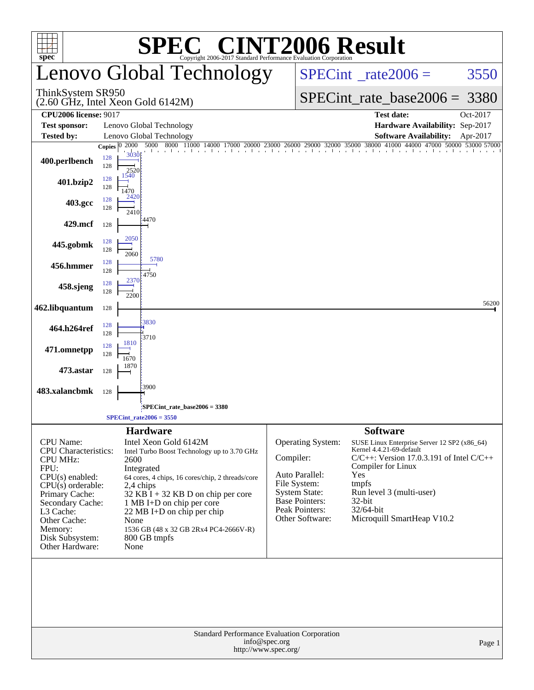|                                                                                                                                                                                                                                            |                                                          | $\bigwedge$                                                                                                                                                                                                                                                                                                                                                     |                                                                                                                                                        | <b>INT2006 Result</b>                                                                                                                                                                                                                                                  |        |  |  |  |  |
|--------------------------------------------------------------------------------------------------------------------------------------------------------------------------------------------------------------------------------------------|----------------------------------------------------------|-----------------------------------------------------------------------------------------------------------------------------------------------------------------------------------------------------------------------------------------------------------------------------------------------------------------------------------------------------------------|--------------------------------------------------------------------------------------------------------------------------------------------------------|------------------------------------------------------------------------------------------------------------------------------------------------------------------------------------------------------------------------------------------------------------------------|--------|--|--|--|--|
| $spec^*$                                                                                                                                                                                                                                   |                                                          | Lenovo Global Technology                                                                                                                                                                                                                                                                                                                                        |                                                                                                                                                        | Copyright 2006-2017 Standard Performance Evaluation Corporation<br>$SPECint^{\circ}$ <sub>_rate2006</sub> =<br>3550                                                                                                                                                    |        |  |  |  |  |
| ThinkSystem SR950<br>(2.60 GHz, Intel Xeon Gold 6142M)                                                                                                                                                                                     |                                                          |                                                                                                                                                                                                                                                                                                                                                                 |                                                                                                                                                        | $SPECint_rate_base2006 = 3380$                                                                                                                                                                                                                                         |        |  |  |  |  |
| <b>CPU2006 license: 9017</b>                                                                                                                                                                                                               |                                                          |                                                                                                                                                                                                                                                                                                                                                                 |                                                                                                                                                        | Oct-2017<br><b>Test date:</b>                                                                                                                                                                                                                                          |        |  |  |  |  |
| <b>Test sponsor:</b>                                                                                                                                                                                                                       |                                                          | Lenovo Global Technology                                                                                                                                                                                                                                                                                                                                        |                                                                                                                                                        | Hardware Availability: Sep-2017                                                                                                                                                                                                                                        |        |  |  |  |  |
| <b>Tested by:</b>                                                                                                                                                                                                                          | 2000                                                     | Lenovo Global Technology                                                                                                                                                                                                                                                                                                                                        |                                                                                                                                                        | <b>Software Availability:</b><br>Apr-2017                                                                                                                                                                                                                              |        |  |  |  |  |
| 400.perlbench                                                                                                                                                                                                                              | Copies $ 0\rangle$<br>3030<br>128<br>128<br>2520<br>1540 |                                                                                                                                                                                                                                                                                                                                                                 |                                                                                                                                                        | 5000 8000 11000 14000 17000 20000 23000 26000 29000 32000 35000 38000 41000 44000 47000 50000 53000 57000                                                                                                                                                              |        |  |  |  |  |
| 401.bzip2                                                                                                                                                                                                                                  | 128<br>128<br>1470<br>2420                               |                                                                                                                                                                                                                                                                                                                                                                 |                                                                                                                                                        |                                                                                                                                                                                                                                                                        |        |  |  |  |  |
| 403.gcc                                                                                                                                                                                                                                    | 128<br>128                                               | 2410                                                                                                                                                                                                                                                                                                                                                            |                                                                                                                                                        |                                                                                                                                                                                                                                                                        |        |  |  |  |  |
| 429.mcf                                                                                                                                                                                                                                    | 128                                                      | 4470                                                                                                                                                                                                                                                                                                                                                            |                                                                                                                                                        |                                                                                                                                                                                                                                                                        |        |  |  |  |  |
| 445.gobmk                                                                                                                                                                                                                                  | 2050<br>128<br>128<br>2060                               |                                                                                                                                                                                                                                                                                                                                                                 |                                                                                                                                                        |                                                                                                                                                                                                                                                                        |        |  |  |  |  |
| 456.hmmer                                                                                                                                                                                                                                  | 128<br>128                                               | 5780<br>4750                                                                                                                                                                                                                                                                                                                                                    |                                                                                                                                                        |                                                                                                                                                                                                                                                                        |        |  |  |  |  |
| 458.sjeng                                                                                                                                                                                                                                  | 2370<br>128<br>128<br>2200                               |                                                                                                                                                                                                                                                                                                                                                                 |                                                                                                                                                        |                                                                                                                                                                                                                                                                        |        |  |  |  |  |
| 462.libquantum                                                                                                                                                                                                                             | 128                                                      |                                                                                                                                                                                                                                                                                                                                                                 |                                                                                                                                                        |                                                                                                                                                                                                                                                                        | 56200  |  |  |  |  |
| 464.h264ref                                                                                                                                                                                                                                | 128<br>128                                               | 3830<br>3710                                                                                                                                                                                                                                                                                                                                                    |                                                                                                                                                        |                                                                                                                                                                                                                                                                        |        |  |  |  |  |
| 471.omnetpp                                                                                                                                                                                                                                | 1810<br>128<br>128<br>1670                               |                                                                                                                                                                                                                                                                                                                                                                 |                                                                                                                                                        |                                                                                                                                                                                                                                                                        |        |  |  |  |  |
| 473.astar                                                                                                                                                                                                                                  | 1870<br>128                                              |                                                                                                                                                                                                                                                                                                                                                                 |                                                                                                                                                        |                                                                                                                                                                                                                                                                        |        |  |  |  |  |
| 483.xalancbmk                                                                                                                                                                                                                              | 128                                                      | 3900                                                                                                                                                                                                                                                                                                                                                            |                                                                                                                                                        |                                                                                                                                                                                                                                                                        |        |  |  |  |  |
|                                                                                                                                                                                                                                            |                                                          | SPECint_rate_base2006 = 3380<br>$SPECint_rate2006 = 3550$                                                                                                                                                                                                                                                                                                       |                                                                                                                                                        |                                                                                                                                                                                                                                                                        |        |  |  |  |  |
| <b>CPU</b> Name:<br><b>CPU</b> Characteristics:<br><b>CPU MHz:</b><br>FPU:<br>$CPU(s)$ enabled:<br>$CPU(s)$ orderable:<br>Primary Cache:<br>Secondary Cache:<br>L3 Cache:<br>Other Cache:<br>Memory:<br>Disk Subsystem:<br>Other Hardware: | 2600                                                     | <b>Hardware</b><br>Intel Xeon Gold 6142M<br>Intel Turbo Boost Technology up to 3.70 GHz<br>Integrated<br>64 cores, 4 chips, 16 cores/chip, 2 threads/core<br>2,4 chips<br>$32$ KB $\overline{I}$ + 32 KB D on chip per core<br>1 MB I+D on chip per core<br>22 MB I+D on chip per chip<br>None<br>1536 GB (48 x 32 GB 2Rx4 PC4-2666V-R)<br>800 GB tmpfs<br>None | Operating System:<br>Compiler:<br>Auto Parallel:<br>File System:<br><b>System State:</b><br><b>Base Pointers:</b><br>Peak Pointers:<br>Other Software: | <b>Software</b><br>SUSE Linux Enterprise Server 12 SP2 (x86_64)<br>Kernel 4.4.21-69-default<br>$C/C++$ : Version 17.0.3.191 of Intel $C/C++$<br>Compiler for Linux<br>Yes<br>tmpfs<br>Run level 3 (multi-user)<br>$32$ -bit<br>32/64-bit<br>Microquill SmartHeap V10.2 |        |  |  |  |  |
|                                                                                                                                                                                                                                            |                                                          | Standard Performance Evaluation Corporation<br>info@spec.org<br>http://www.spec.org/                                                                                                                                                                                                                                                                            |                                                                                                                                                        |                                                                                                                                                                                                                                                                        | Page 1 |  |  |  |  |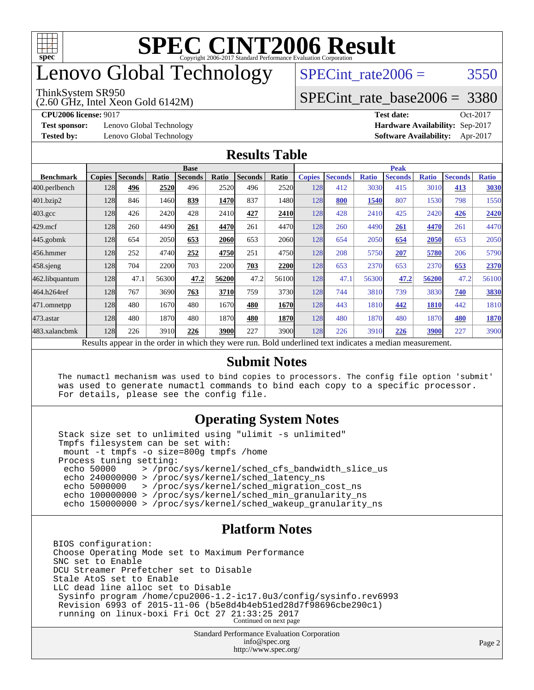

# enovo Global Technology

#### ThinkSystem SR950

(2.60 GHz, Intel Xeon Gold 6142M)

SPECint rate $2006 = 3550$ 

#### [SPECint\\_rate\\_base2006 =](http://www.spec.org/auto/cpu2006/Docs/result-fields.html#SPECintratebase2006) 3380

**[CPU2006 license:](http://www.spec.org/auto/cpu2006/Docs/result-fields.html#CPU2006license)** 9017 **[Test date:](http://www.spec.org/auto/cpu2006/Docs/result-fields.html#Testdate)** Oct-2017

**[Test sponsor:](http://www.spec.org/auto/cpu2006/Docs/result-fields.html#Testsponsor)** Lenovo Global Technology **[Hardware Availability:](http://www.spec.org/auto/cpu2006/Docs/result-fields.html#HardwareAvailability)** Sep-2017

**[Tested by:](http://www.spec.org/auto/cpu2006/Docs/result-fields.html#Testedby)** Lenovo Global Technology **[Software Availability:](http://www.spec.org/auto/cpu2006/Docs/result-fields.html#SoftwareAvailability)** Apr-2017

#### **[Results Table](http://www.spec.org/auto/cpu2006/Docs/result-fields.html#ResultsTable)**

|                    | <b>Base</b>   |                |       |                |       |                | <b>Peak</b>  |               |                |              |                |              |                |              |
|--------------------|---------------|----------------|-------|----------------|-------|----------------|--------------|---------------|----------------|--------------|----------------|--------------|----------------|--------------|
| <b>Benchmark</b>   | <b>Copies</b> | <b>Seconds</b> | Ratio | <b>Seconds</b> | Ratio | <b>Seconds</b> | <b>Ratio</b> | <b>Copies</b> | <b>Seconds</b> | <b>Ratio</b> | <b>Seconds</b> | <b>Ratio</b> | <b>Seconds</b> | <b>Ratio</b> |
| $ 400$ .perlbench  | 128           | 496            | 2520  | 496            | 2520  | 496            | 2520         | 128           | 412            | 3030         | 415            | 3010         | 413            | 3030         |
| 401.bzip2          | 128           | 846            | 1460  | 839            | 1470  | 837            | 1480l        | 128           | 800            | 1540         | 807            | 1530         | 798            | 1550         |
| $403.\mathrm{gcc}$ | 128           | 426            | 2420  | 428            | 2410  | 427            | 2410         | 128           | 428            | 2410         | 425            | 2420         | 426            | 2420         |
| $429$ .mcf         | 128           | 260            | 4490  | 261            | 4470  | 261            | 4470         | 128           | 260            | 4490         | 261            | 4470         | 261            | 4470         |
| $445$ .gobm $k$    | 128           | 654            | 2050  | 653            | 2060  | 653            | 2060         | 128           | 654            | 2050         | 654            | 2050         | 653            | 2050         |
| 456.hmmer          | 128           | 252            | 4740  | 252            | 4750  | 251            | 4750         | 128           | 208            | 5750         | 207            | 5780         | 206            | 5790         |
| $458$ .sjeng       | 128           | 704            | 2200  | 703            | 2200  | 703            | 2200         | 128           | 653            | 2370         | 653            | 2370         | 653            | 2370         |
| 462.libquantum     | 128           | 47.1           | 56300 | 47.2           | 56200 | 47.2           | 56100        | 128           | 47.1           | 56300        | 47.2           | 56200        | 47.2           | 56100        |
| 464.h264ref        | 128           | 767            | 3690  | 763            | 3710  | 759            | 3730         | 128           | 744            | 3810         | 739            | 3830         | 740            | 3830         |
| 471.omnetpp        | 128           | 480            | 1670  | 480            | 1670  | 480            | 1670         | 128           | 443            | 1810         | 442            | 1810         | 442            | 1810         |
| 473.astar          | 128           | 480            | 1870  | 480            | 1870  | 480            | 1870         | 128           | 480            | 1870         | 480            | 1870         | 480            | 1870         |
| 483.xalancbmk      | 128           | 226            | 3910  | 226            | 3900  | 227            | 3900l        | 128           | 226            | 3910         | 226            | 3900         | 227            | 3900         |

Results appear in the [order in which they were run.](http://www.spec.org/auto/cpu2006/Docs/result-fields.html#RunOrder) Bold underlined text [indicates a median measurement.](http://www.spec.org/auto/cpu2006/Docs/result-fields.html#Median)

#### **[Submit Notes](http://www.spec.org/auto/cpu2006/Docs/result-fields.html#SubmitNotes)**

 The numactl mechanism was used to bind copies to processors. The config file option 'submit' was used to generate numactl commands to bind each copy to a specific processor. For details, please see the config file.

#### **[Operating System Notes](http://www.spec.org/auto/cpu2006/Docs/result-fields.html#OperatingSystemNotes)**

 Stack size set to unlimited using "ulimit -s unlimited" Tmpfs filesystem can be set with: mount -t tmpfs -o size=800g tmpfs /home Process tuning setting:<br>echo 50000 > /proc echo 50000 > /proc/sys/kernel/sched\_cfs\_bandwidth\_slice\_us echo 240000000 > /proc/sys/kernel/sched\_latency\_ns echo 5000000 > /proc/sys/kernel/sched\_migration\_cost\_ns echo 100000000 > /proc/sys/kernel/sched\_min\_granularity\_ns echo 150000000 > /proc/sys/kernel/sched\_wakeup\_granularity\_ns

#### **[Platform Notes](http://www.spec.org/auto/cpu2006/Docs/result-fields.html#PlatformNotes)**

BIOS configuration: Choose Operating Mode set to Maximum Performance SNC set to Enable DCU Streamer Prefetcher set to Disable Stale AtoS set to Enable LLC dead line alloc set to Disable Sysinfo program /home/cpu2006-1.2-ic17.0u3/config/sysinfo.rev6993 Revision 6993 of 2015-11-06 (b5e8d4b4eb51ed28d7f98696cbe290c1) running on linux-boxi Fri Oct 27 21:33:25 2017 Continued on next page

> Standard Performance Evaluation Corporation [info@spec.org](mailto:info@spec.org) <http://www.spec.org/>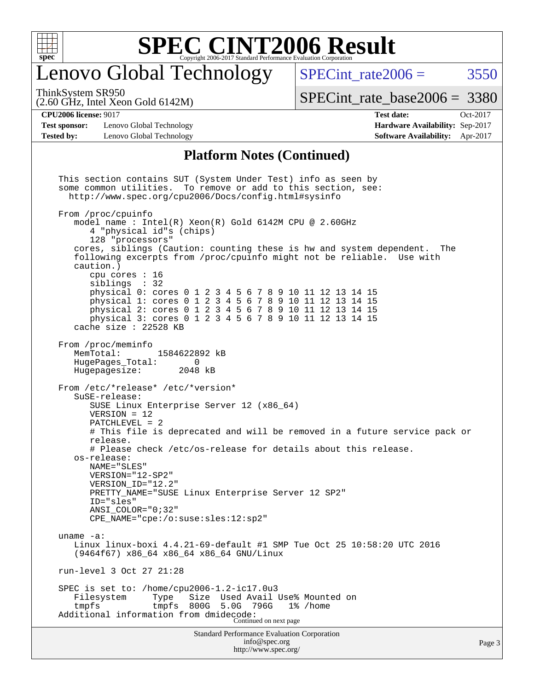

## enovo Global Technology

SPECint rate $2006 = 3550$ 

(2.60 GHz, Intel Xeon Gold 6142M) ThinkSystem SR950

[SPECint\\_rate\\_base2006 =](http://www.spec.org/auto/cpu2006/Docs/result-fields.html#SPECintratebase2006) 3380

**[Test sponsor:](http://www.spec.org/auto/cpu2006/Docs/result-fields.html#Testsponsor)** Lenovo Global Technology **[Hardware Availability:](http://www.spec.org/auto/cpu2006/Docs/result-fields.html#HardwareAvailability)** Sep-2017 **[Tested by:](http://www.spec.org/auto/cpu2006/Docs/result-fields.html#Testedby)** Lenovo Global Technology **[Software Availability:](http://www.spec.org/auto/cpu2006/Docs/result-fields.html#SoftwareAvailability)** Apr-2017

**[CPU2006 license:](http://www.spec.org/auto/cpu2006/Docs/result-fields.html#CPU2006license)** 9017 **[Test date:](http://www.spec.org/auto/cpu2006/Docs/result-fields.html#Testdate)** Oct-2017

#### **[Platform Notes \(Continued\)](http://www.spec.org/auto/cpu2006/Docs/result-fields.html#PlatformNotes)**

Standard Performance Evaluation Corporation [info@spec.org](mailto:info@spec.org) This section contains SUT (System Under Test) info as seen by some common utilities. To remove or add to this section, see: <http://www.spec.org/cpu2006/Docs/config.html#sysinfo> From /proc/cpuinfo model name : Intel(R) Xeon(R) Gold 6142M CPU @ 2.60GHz 4 "physical id"s (chips) 128 "processors" cores, siblings (Caution: counting these is hw and system dependent. The following excerpts from /proc/cpuinfo might not be reliable. Use with caution.) cpu cores : 16 siblings : 32 physical 0: cores 0 1 2 3 4 5 6 7 8 9 10 11 12 13 14 15 physical 1: cores 0 1 2 3 4 5 6 7 8 9 10 11 12 13 14 15 physical 2: cores 0 1 2 3 4 5 6 7 8 9 10 11 12 13 14 15 physical 3: cores 0 1 2 3 4 5 6 7 8 9 10 11 12 13 14 15 cache size : 22528 KB From /proc/meminfo MemTotal: 1584622892 kB HugePages\_Total: 0 Hugepagesize: 2048 kB From /etc/\*release\* /etc/\*version\* SuSE-release: SUSE Linux Enterprise Server 12 (x86\_64) VERSION = 12 PATCHLEVEL = 2 # This file is deprecated and will be removed in a future service pack or release. # Please check /etc/os-release for details about this release. os-release: NAME="SLES" VERSION="12-SP2" VERSION\_ID="12.2" PRETTY\_NAME="SUSE Linux Enterprise Server 12 SP2" ID="sles" ANSI\_COLOR="0;32" CPE\_NAME="cpe:/o:suse:sles:12:sp2" uname -a: Linux linux-boxi 4.4.21-69-default #1 SMP Tue Oct 25 10:58:20 UTC 2016 (9464f67) x86\_64 x86\_64 x86\_64 GNU/Linux run-level 3 Oct 27 21:28 SPEC is set to: /home/cpu2006-1.2-ic17.0u3<br>Filesystem Type Size Used Avail Size Used Avail Use% Mounted on tmpfs tmpfs 800G 5.0G 796G 1% /home Additional information from dmidecode: Continued on next page

<http://www.spec.org/>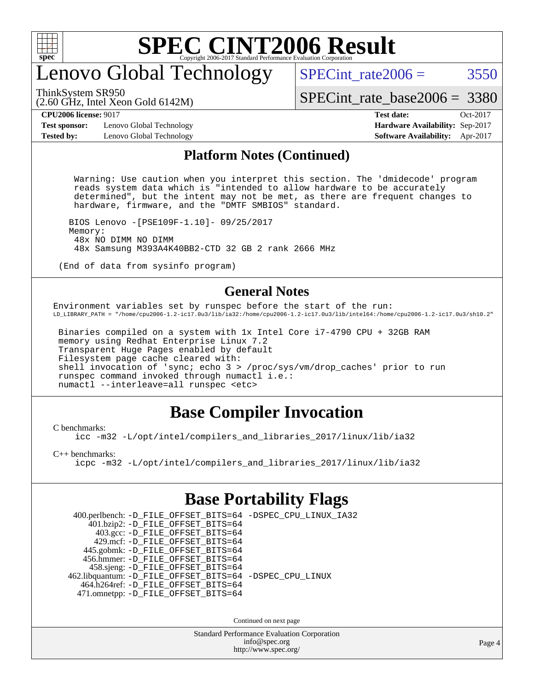

## enovo Global Technology

SPECint rate $2006 = 3550$ 

ThinkSystem SR950

(2.60 GHz, Intel Xeon Gold 6142M)

[SPECint\\_rate\\_base2006 =](http://www.spec.org/auto/cpu2006/Docs/result-fields.html#SPECintratebase2006) 3380

**[CPU2006 license:](http://www.spec.org/auto/cpu2006/Docs/result-fields.html#CPU2006license)** 9017 **[Test date:](http://www.spec.org/auto/cpu2006/Docs/result-fields.html#Testdate)** Oct-2017

**[Test sponsor:](http://www.spec.org/auto/cpu2006/Docs/result-fields.html#Testsponsor)** Lenovo Global Technology **[Hardware Availability:](http://www.spec.org/auto/cpu2006/Docs/result-fields.html#HardwareAvailability)** Sep-2017 **[Tested by:](http://www.spec.org/auto/cpu2006/Docs/result-fields.html#Testedby)** Lenovo Global Technology **[Software Availability:](http://www.spec.org/auto/cpu2006/Docs/result-fields.html#SoftwareAvailability)** Apr-2017

#### **[Platform Notes \(Continued\)](http://www.spec.org/auto/cpu2006/Docs/result-fields.html#PlatformNotes)**

 Warning: Use caution when you interpret this section. The 'dmidecode' program reads system data which is "intended to allow hardware to be accurately determined", but the intent may not be met, as there are frequent changes to hardware, firmware, and the "DMTF SMBIOS" standard.

 BIOS Lenovo -[PSE109F-1.10]- 09/25/2017 Memory: 48x NO DIMM NO DIMM 48x Samsung M393A4K40BB2-CTD 32 GB 2 rank 2666 MHz

(End of data from sysinfo program)

#### **[General Notes](http://www.spec.org/auto/cpu2006/Docs/result-fields.html#GeneralNotes)**

Environment variables set by runspec before the start of the run: LD\_LIBRARY\_PATH = "/home/cpu2006-1.2-ic17.0u3/lib/ia32:/home/cpu2006-1.2-ic17.0u3/lib/intel64:/home/cpu2006-1.2-ic17.0u3/sh10.2"

 Binaries compiled on a system with 1x Intel Core i7-4790 CPU + 32GB RAM memory using Redhat Enterprise Linux 7.2 Transparent Huge Pages enabled by default Filesystem page cache cleared with: shell invocation of 'sync; echo 3 > /proc/sys/vm/drop\_caches' prior to run runspec command invoked through numactl i.e.: numactl --interleave=all runspec <etc>

### **[Base Compiler Invocation](http://www.spec.org/auto/cpu2006/Docs/result-fields.html#BaseCompilerInvocation)**

[C benchmarks](http://www.spec.org/auto/cpu2006/Docs/result-fields.html#Cbenchmarks):

[icc -m32 -L/opt/intel/compilers\\_and\\_libraries\\_2017/linux/lib/ia32](http://www.spec.org/cpu2006/results/res2017q4/cpu2006-20171211-51051.flags.html#user_CCbase_intel_icc_c29f3ff5a7ed067b11e4ec10a03f03ae)

[C++ benchmarks:](http://www.spec.org/auto/cpu2006/Docs/result-fields.html#CXXbenchmarks)

[icpc -m32 -L/opt/intel/compilers\\_and\\_libraries\\_2017/linux/lib/ia32](http://www.spec.org/cpu2006/results/res2017q4/cpu2006-20171211-51051.flags.html#user_CXXbase_intel_icpc_8c35c7808b62dab9ae41a1aa06361b6b)

### **[Base Portability Flags](http://www.spec.org/auto/cpu2006/Docs/result-fields.html#BasePortabilityFlags)**

 400.perlbench: [-D\\_FILE\\_OFFSET\\_BITS=64](http://www.spec.org/cpu2006/results/res2017q4/cpu2006-20171211-51051.flags.html#user_basePORTABILITY400_perlbench_file_offset_bits_64_438cf9856305ebd76870a2c6dc2689ab) [-DSPEC\\_CPU\\_LINUX\\_IA32](http://www.spec.org/cpu2006/results/res2017q4/cpu2006-20171211-51051.flags.html#b400.perlbench_baseCPORTABILITY_DSPEC_CPU_LINUX_IA32) 401.bzip2: [-D\\_FILE\\_OFFSET\\_BITS=64](http://www.spec.org/cpu2006/results/res2017q4/cpu2006-20171211-51051.flags.html#user_basePORTABILITY401_bzip2_file_offset_bits_64_438cf9856305ebd76870a2c6dc2689ab) 403.gcc: [-D\\_FILE\\_OFFSET\\_BITS=64](http://www.spec.org/cpu2006/results/res2017q4/cpu2006-20171211-51051.flags.html#user_basePORTABILITY403_gcc_file_offset_bits_64_438cf9856305ebd76870a2c6dc2689ab) 429.mcf: [-D\\_FILE\\_OFFSET\\_BITS=64](http://www.spec.org/cpu2006/results/res2017q4/cpu2006-20171211-51051.flags.html#user_basePORTABILITY429_mcf_file_offset_bits_64_438cf9856305ebd76870a2c6dc2689ab) 445.gobmk: [-D\\_FILE\\_OFFSET\\_BITS=64](http://www.spec.org/cpu2006/results/res2017q4/cpu2006-20171211-51051.flags.html#user_basePORTABILITY445_gobmk_file_offset_bits_64_438cf9856305ebd76870a2c6dc2689ab) 456.hmmer: [-D\\_FILE\\_OFFSET\\_BITS=64](http://www.spec.org/cpu2006/results/res2017q4/cpu2006-20171211-51051.flags.html#user_basePORTABILITY456_hmmer_file_offset_bits_64_438cf9856305ebd76870a2c6dc2689ab) 458.sjeng: [-D\\_FILE\\_OFFSET\\_BITS=64](http://www.spec.org/cpu2006/results/res2017q4/cpu2006-20171211-51051.flags.html#user_basePORTABILITY458_sjeng_file_offset_bits_64_438cf9856305ebd76870a2c6dc2689ab) 462.libquantum: [-D\\_FILE\\_OFFSET\\_BITS=64](http://www.spec.org/cpu2006/results/res2017q4/cpu2006-20171211-51051.flags.html#user_basePORTABILITY462_libquantum_file_offset_bits_64_438cf9856305ebd76870a2c6dc2689ab) [-DSPEC\\_CPU\\_LINUX](http://www.spec.org/cpu2006/results/res2017q4/cpu2006-20171211-51051.flags.html#b462.libquantum_baseCPORTABILITY_DSPEC_CPU_LINUX) 464.h264ref: [-D\\_FILE\\_OFFSET\\_BITS=64](http://www.spec.org/cpu2006/results/res2017q4/cpu2006-20171211-51051.flags.html#user_basePORTABILITY464_h264ref_file_offset_bits_64_438cf9856305ebd76870a2c6dc2689ab) 471.omnetpp: [-D\\_FILE\\_OFFSET\\_BITS=64](http://www.spec.org/cpu2006/results/res2017q4/cpu2006-20171211-51051.flags.html#user_basePORTABILITY471_omnetpp_file_offset_bits_64_438cf9856305ebd76870a2c6dc2689ab)

Continued on next page

Standard Performance Evaluation Corporation [info@spec.org](mailto:info@spec.org) <http://www.spec.org/>

Page 4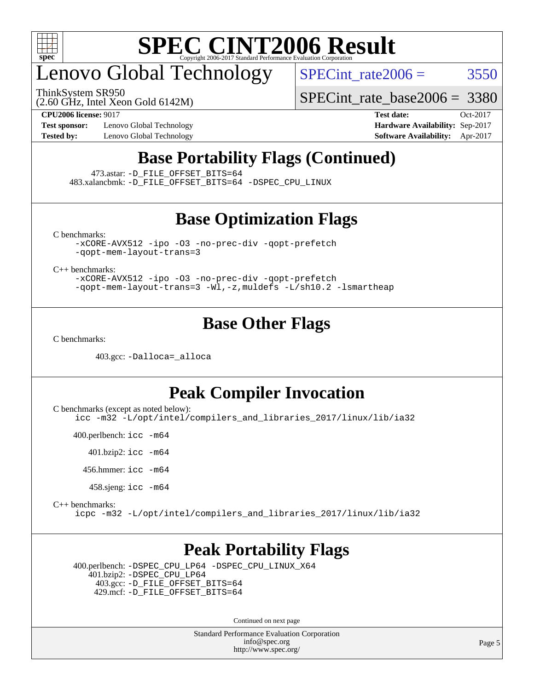

# enovo Global Technology

ThinkSystem SR950

SPECint rate $2006 = 3550$ 

[SPECint\\_rate\\_base2006 =](http://www.spec.org/auto/cpu2006/Docs/result-fields.html#SPECintratebase2006) 3380

(2.60 GHz, Intel Xeon Gold 6142M)

**[Test sponsor:](http://www.spec.org/auto/cpu2006/Docs/result-fields.html#Testsponsor)** Lenovo Global Technology **[Hardware Availability:](http://www.spec.org/auto/cpu2006/Docs/result-fields.html#HardwareAvailability)** Sep-2017

**[CPU2006 license:](http://www.spec.org/auto/cpu2006/Docs/result-fields.html#CPU2006license)** 9017 **[Test date:](http://www.spec.org/auto/cpu2006/Docs/result-fields.html#Testdate)** Oct-2017 **[Tested by:](http://www.spec.org/auto/cpu2006/Docs/result-fields.html#Testedby)** Lenovo Global Technology **[Software Availability:](http://www.spec.org/auto/cpu2006/Docs/result-fields.html#SoftwareAvailability)** Apr-2017

### **[Base Portability Flags \(Continued\)](http://www.spec.org/auto/cpu2006/Docs/result-fields.html#BasePortabilityFlags)**

473.astar: [-D\\_FILE\\_OFFSET\\_BITS=64](http://www.spec.org/cpu2006/results/res2017q4/cpu2006-20171211-51051.flags.html#user_basePORTABILITY473_astar_file_offset_bits_64_438cf9856305ebd76870a2c6dc2689ab)

483.xalancbmk: [-D\\_FILE\\_OFFSET\\_BITS=64](http://www.spec.org/cpu2006/results/res2017q4/cpu2006-20171211-51051.flags.html#user_basePORTABILITY483_xalancbmk_file_offset_bits_64_438cf9856305ebd76870a2c6dc2689ab) [-DSPEC\\_CPU\\_LINUX](http://www.spec.org/cpu2006/results/res2017q4/cpu2006-20171211-51051.flags.html#b483.xalancbmk_baseCXXPORTABILITY_DSPEC_CPU_LINUX)

### **[Base Optimization Flags](http://www.spec.org/auto/cpu2006/Docs/result-fields.html#BaseOptimizationFlags)**

[C benchmarks](http://www.spec.org/auto/cpu2006/Docs/result-fields.html#Cbenchmarks):

[-xCORE-AVX512](http://www.spec.org/cpu2006/results/res2017q4/cpu2006-20171211-51051.flags.html#user_CCbase_f-xCORE-AVX512) [-ipo](http://www.spec.org/cpu2006/results/res2017q4/cpu2006-20171211-51051.flags.html#user_CCbase_f-ipo) [-O3](http://www.spec.org/cpu2006/results/res2017q4/cpu2006-20171211-51051.flags.html#user_CCbase_f-O3) [-no-prec-div](http://www.spec.org/cpu2006/results/res2017q4/cpu2006-20171211-51051.flags.html#user_CCbase_f-no-prec-div) [-qopt-prefetch](http://www.spec.org/cpu2006/results/res2017q4/cpu2006-20171211-51051.flags.html#user_CCbase_f-qopt-prefetch) [-qopt-mem-layout-trans=3](http://www.spec.org/cpu2006/results/res2017q4/cpu2006-20171211-51051.flags.html#user_CCbase_f-qopt-mem-layout-trans_170f5be61cd2cedc9b54468c59262d5d)

[C++ benchmarks:](http://www.spec.org/auto/cpu2006/Docs/result-fields.html#CXXbenchmarks)

[-xCORE-AVX512](http://www.spec.org/cpu2006/results/res2017q4/cpu2006-20171211-51051.flags.html#user_CXXbase_f-xCORE-AVX512) [-ipo](http://www.spec.org/cpu2006/results/res2017q4/cpu2006-20171211-51051.flags.html#user_CXXbase_f-ipo) [-O3](http://www.spec.org/cpu2006/results/res2017q4/cpu2006-20171211-51051.flags.html#user_CXXbase_f-O3) [-no-prec-div](http://www.spec.org/cpu2006/results/res2017q4/cpu2006-20171211-51051.flags.html#user_CXXbase_f-no-prec-div) [-qopt-prefetch](http://www.spec.org/cpu2006/results/res2017q4/cpu2006-20171211-51051.flags.html#user_CXXbase_f-qopt-prefetch) [-qopt-mem-layout-trans=3](http://www.spec.org/cpu2006/results/res2017q4/cpu2006-20171211-51051.flags.html#user_CXXbase_f-qopt-mem-layout-trans_170f5be61cd2cedc9b54468c59262d5d) [-Wl,-z,muldefs](http://www.spec.org/cpu2006/results/res2017q4/cpu2006-20171211-51051.flags.html#user_CXXbase_link_force_multiple1_74079c344b956b9658436fd1b6dd3a8a) [-L/sh10.2 -lsmartheap](http://www.spec.org/cpu2006/results/res2017q4/cpu2006-20171211-51051.flags.html#user_CXXbase_SmartHeap_b831f2d313e2fffa6dfe3f00ffc1f1c0)

#### **[Base Other Flags](http://www.spec.org/auto/cpu2006/Docs/result-fields.html#BaseOtherFlags)**

[C benchmarks](http://www.spec.org/auto/cpu2006/Docs/result-fields.html#Cbenchmarks):

403.gcc: [-Dalloca=\\_alloca](http://www.spec.org/cpu2006/results/res2017q4/cpu2006-20171211-51051.flags.html#b403.gcc_baseEXTRA_CFLAGS_Dalloca_be3056838c12de2578596ca5467af7f3)

#### **[Peak Compiler Invocation](http://www.spec.org/auto/cpu2006/Docs/result-fields.html#PeakCompilerInvocation)**

[C benchmarks \(except as noted below\)](http://www.spec.org/auto/cpu2006/Docs/result-fields.html#Cbenchmarksexceptasnotedbelow):

[icc -m32 -L/opt/intel/compilers\\_and\\_libraries\\_2017/linux/lib/ia32](http://www.spec.org/cpu2006/results/res2017q4/cpu2006-20171211-51051.flags.html#user_CCpeak_intel_icc_c29f3ff5a7ed067b11e4ec10a03f03ae)

400.perlbench: [icc -m64](http://www.spec.org/cpu2006/results/res2017q4/cpu2006-20171211-51051.flags.html#user_peakCCLD400_perlbench_intel_icc_64bit_bda6cc9af1fdbb0edc3795bac97ada53)

401.bzip2: [icc -m64](http://www.spec.org/cpu2006/results/res2017q4/cpu2006-20171211-51051.flags.html#user_peakCCLD401_bzip2_intel_icc_64bit_bda6cc9af1fdbb0edc3795bac97ada53)

456.hmmer: [icc -m64](http://www.spec.org/cpu2006/results/res2017q4/cpu2006-20171211-51051.flags.html#user_peakCCLD456_hmmer_intel_icc_64bit_bda6cc9af1fdbb0edc3795bac97ada53)

458.sjeng: [icc -m64](http://www.spec.org/cpu2006/results/res2017q4/cpu2006-20171211-51051.flags.html#user_peakCCLD458_sjeng_intel_icc_64bit_bda6cc9af1fdbb0edc3795bac97ada53)

[C++ benchmarks:](http://www.spec.org/auto/cpu2006/Docs/result-fields.html#CXXbenchmarks)

[icpc -m32 -L/opt/intel/compilers\\_and\\_libraries\\_2017/linux/lib/ia32](http://www.spec.org/cpu2006/results/res2017q4/cpu2006-20171211-51051.flags.html#user_CXXpeak_intel_icpc_8c35c7808b62dab9ae41a1aa06361b6b)

#### **[Peak Portability Flags](http://www.spec.org/auto/cpu2006/Docs/result-fields.html#PeakPortabilityFlags)**

 400.perlbench: [-DSPEC\\_CPU\\_LP64](http://www.spec.org/cpu2006/results/res2017q4/cpu2006-20171211-51051.flags.html#b400.perlbench_peakCPORTABILITY_DSPEC_CPU_LP64) [-DSPEC\\_CPU\\_LINUX\\_X64](http://www.spec.org/cpu2006/results/res2017q4/cpu2006-20171211-51051.flags.html#b400.perlbench_peakCPORTABILITY_DSPEC_CPU_LINUX_X64) 401.bzip2: [-DSPEC\\_CPU\\_LP64](http://www.spec.org/cpu2006/results/res2017q4/cpu2006-20171211-51051.flags.html#suite_peakCPORTABILITY401_bzip2_DSPEC_CPU_LP64) 403.gcc: [-D\\_FILE\\_OFFSET\\_BITS=64](http://www.spec.org/cpu2006/results/res2017q4/cpu2006-20171211-51051.flags.html#user_peakPORTABILITY403_gcc_file_offset_bits_64_438cf9856305ebd76870a2c6dc2689ab) 429.mcf: [-D\\_FILE\\_OFFSET\\_BITS=64](http://www.spec.org/cpu2006/results/res2017q4/cpu2006-20171211-51051.flags.html#user_peakPORTABILITY429_mcf_file_offset_bits_64_438cf9856305ebd76870a2c6dc2689ab)

Continued on next page

Standard Performance Evaluation Corporation [info@spec.org](mailto:info@spec.org) <http://www.spec.org/>

Page 5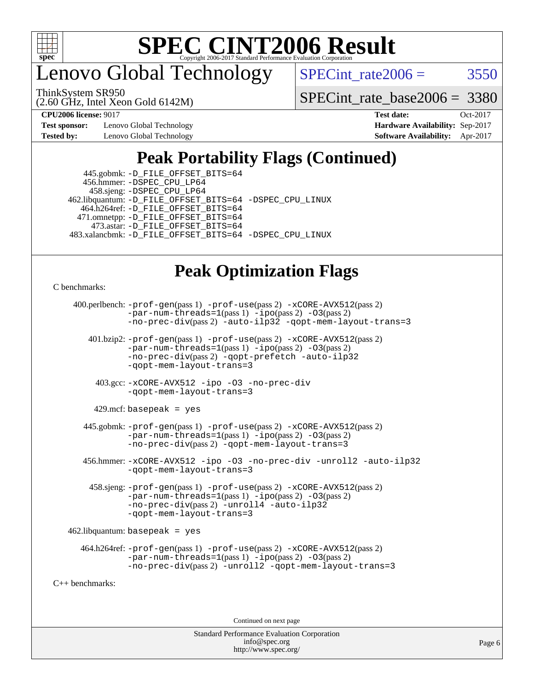

enovo Global Technology

SPECint rate  $2006 = 3550$ 

(2.60 GHz, Intel Xeon Gold 6142M) ThinkSystem SR950

[SPECint\\_rate\\_base2006 =](http://www.spec.org/auto/cpu2006/Docs/result-fields.html#SPECintratebase2006) 3380

**[Test sponsor:](http://www.spec.org/auto/cpu2006/Docs/result-fields.html#Testsponsor)** Lenovo Global Technology **[Hardware Availability:](http://www.spec.org/auto/cpu2006/Docs/result-fields.html#HardwareAvailability)** Sep-2017 **[Tested by:](http://www.spec.org/auto/cpu2006/Docs/result-fields.html#Testedby)** Lenovo Global Technology **[Software Availability:](http://www.spec.org/auto/cpu2006/Docs/result-fields.html#SoftwareAvailability)** Apr-2017

**[CPU2006 license:](http://www.spec.org/auto/cpu2006/Docs/result-fields.html#CPU2006license)** 9017 **[Test date:](http://www.spec.org/auto/cpu2006/Docs/result-fields.html#Testdate)** Oct-2017

### **[Peak Portability Flags \(Continued\)](http://www.spec.org/auto/cpu2006/Docs/result-fields.html#PeakPortabilityFlags)**

 445.gobmk: [-D\\_FILE\\_OFFSET\\_BITS=64](http://www.spec.org/cpu2006/results/res2017q4/cpu2006-20171211-51051.flags.html#user_peakPORTABILITY445_gobmk_file_offset_bits_64_438cf9856305ebd76870a2c6dc2689ab) 456.hmmer: [-DSPEC\\_CPU\\_LP64](http://www.spec.org/cpu2006/results/res2017q4/cpu2006-20171211-51051.flags.html#suite_peakCPORTABILITY456_hmmer_DSPEC_CPU_LP64) 458.sjeng: [-DSPEC\\_CPU\\_LP64](http://www.spec.org/cpu2006/results/res2017q4/cpu2006-20171211-51051.flags.html#suite_peakCPORTABILITY458_sjeng_DSPEC_CPU_LP64) 462.libquantum: [-D\\_FILE\\_OFFSET\\_BITS=64](http://www.spec.org/cpu2006/results/res2017q4/cpu2006-20171211-51051.flags.html#user_peakPORTABILITY462_libquantum_file_offset_bits_64_438cf9856305ebd76870a2c6dc2689ab) [-DSPEC\\_CPU\\_LINUX](http://www.spec.org/cpu2006/results/res2017q4/cpu2006-20171211-51051.flags.html#b462.libquantum_peakCPORTABILITY_DSPEC_CPU_LINUX) 464.h264ref: [-D\\_FILE\\_OFFSET\\_BITS=64](http://www.spec.org/cpu2006/results/res2017q4/cpu2006-20171211-51051.flags.html#user_peakPORTABILITY464_h264ref_file_offset_bits_64_438cf9856305ebd76870a2c6dc2689ab) 471.omnetpp: [-D\\_FILE\\_OFFSET\\_BITS=64](http://www.spec.org/cpu2006/results/res2017q4/cpu2006-20171211-51051.flags.html#user_peakPORTABILITY471_omnetpp_file_offset_bits_64_438cf9856305ebd76870a2c6dc2689ab) 473.astar: [-D\\_FILE\\_OFFSET\\_BITS=64](http://www.spec.org/cpu2006/results/res2017q4/cpu2006-20171211-51051.flags.html#user_peakPORTABILITY473_astar_file_offset_bits_64_438cf9856305ebd76870a2c6dc2689ab) 483.xalancbmk: [-D\\_FILE\\_OFFSET\\_BITS=64](http://www.spec.org/cpu2006/results/res2017q4/cpu2006-20171211-51051.flags.html#user_peakPORTABILITY483_xalancbmk_file_offset_bits_64_438cf9856305ebd76870a2c6dc2689ab) [-DSPEC\\_CPU\\_LINUX](http://www.spec.org/cpu2006/results/res2017q4/cpu2006-20171211-51051.flags.html#b483.xalancbmk_peakCXXPORTABILITY_DSPEC_CPU_LINUX)

### **[Peak Optimization Flags](http://www.spec.org/auto/cpu2006/Docs/result-fields.html#PeakOptimizationFlags)**

[C benchmarks](http://www.spec.org/auto/cpu2006/Docs/result-fields.html#Cbenchmarks):

```
 400.perlbench: -prof-gen(pass 1) -prof-use(pass 2) -xCORE-AVX512(pass 2)
                -par-num-threads=1(pass 1) -ipo(pass 2) -O3(pass 2)
                -no-prec-div(pass 2) -auto-ilp32 -qopt-mem-layout-trans=3
        401.bzip2: -prof-gen(pass 1) -prof-use(pass 2) -xCORE-AVX512(pass 2)
                -par-num-threads=1(pass 1) -ipo(pass 2) -O3(pass 2)
                -no-prec-div(pass 2) -qopt-prefetch -auto-ilp32
                -qopt-mem-layout-trans=3
          403.gcc: -xCORE-AVX512 -ipo -O3 -no-prec-div
                -qopt-mem-layout-trans=3
        429.mcf: basepeak = yes
       445.gobmk: -prof-gen(pass 1) -prof-use(pass 2) -xCORE-AVX512(pass 2)
                -par-num-threads=1(pass 1) -ipo(pass 2) -O3(pass 2)
                -no-prec-div(pass 2) -qopt-mem-layout-trans=3
       456.hmmer: -xCORE-AVX512 -ipo -O3 -no-prec-div -unroll2 -auto-ilp32
                -qopt-mem-layout-trans=3
        458.sjeng: -prof-gen(pass 1) -prof-use(pass 2) -xCORE-AVX512(pass 2)
                -par-num-threads=1(pass 1) -ipo(pass 2) -O3(pass 2)
                -no-prec-div(pass 2) -unroll4 -auto-ilp32
                -qopt-mem-layout-trans=3
    462.libquantum: basepeak = yes
      464.h264ref: -prof-gen(pass 1) -prof-use(pass 2) -xCORE-AVX512(pass 2)
                -par-num-threads=1(pass 1) -ipo(pass 2) -O3(pass 2)
                -no-prec-div(pass 2) -unroll2 -qopt-mem-layout-trans=3
C++ benchmarks:
```
Continued on next page

Standard Performance Evaluation Corporation [info@spec.org](mailto:info@spec.org) <http://www.spec.org/>